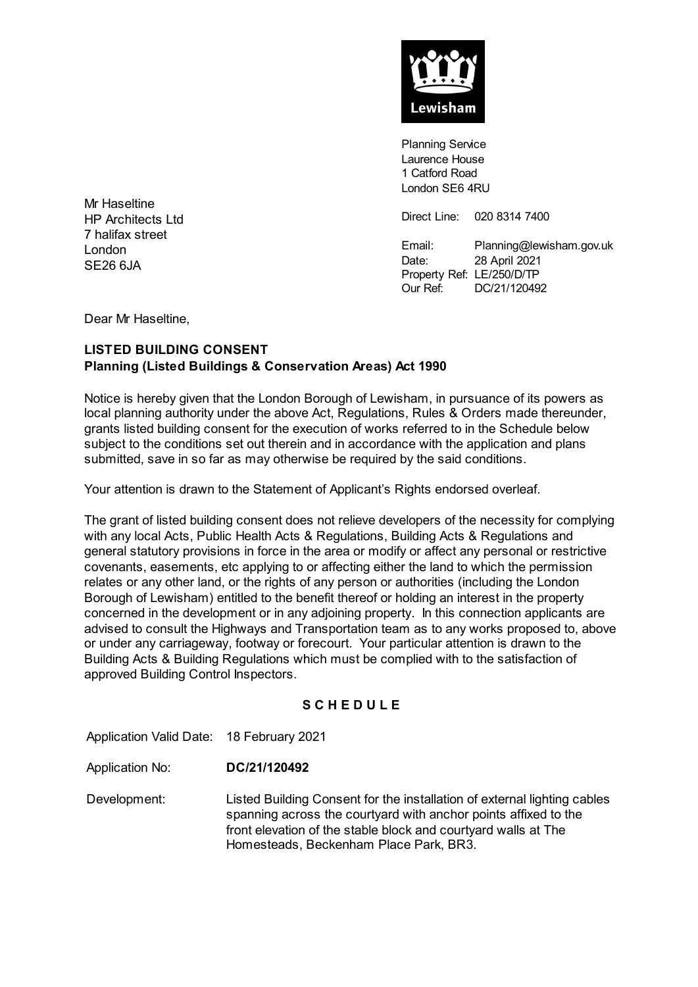

Planning Service Laurence House 1 Catford Road London SE6 4RU

Direct Line: 020 8314 7400

Email: Planning@lewisham.gov.uk Date: 28 April 2021 Property Ref: LE/250/D/TP Our Ref: DC/21/120492

Mr Haseltine HP Architects Ltd 7 halifax street London SE26 6JA

Dear Mr Haseltine,

# **LISTED BUILDING CONSENT Planning (Listed Buildings & Conservation Areas) Act 1990**

Notice is hereby given that the London Borough of Lewisham, in pursuance of its powers as local planning authority under the above Act, Regulations, Rules & Orders made thereunder, grants listed building consent for the execution of works referred to in the Schedule below subject to the conditions set out therein and in accordance with the application and plans submitted, save in so far as may otherwise be required by the said conditions.

Your attention is drawn to the Statement of Applicant's Rights endorsed overleaf.

The grant of listed building consent does not relieve developers of the necessity for complying with any local Acts, Public Health Acts & Regulations, Building Acts & Regulations and general statutory provisions in force in the area or modify or affect any personal or restrictive covenants, easements, etc applying to or affecting either the land to which the permission relates or any other land, or the rights of any person or authorities (including the London Borough of Lewisham) entitled to the benefit thereof or holding an interest in the property concerned in the development or in any adjoining property. In this connection applicants are advised to consult the Highways and Transportation team as to any works proposed to, above or under any carriageway, footway or forecourt. Your particular attention is drawn to the Building Acts & Building Regulations which must be complied with to the satisfaction of approved Building Control Inspectors.

## **S C H E D U L E**

Application Valid Date: 18 February 2021

Application No: **DC/21/120492**

Development: Listed Building Consent for the installation of external lighting cables spanning across the courtyard with anchor points affixed to the front elevation of the stable block and courtyard walls at The Homesteads, Beckenham Place Park, BR3.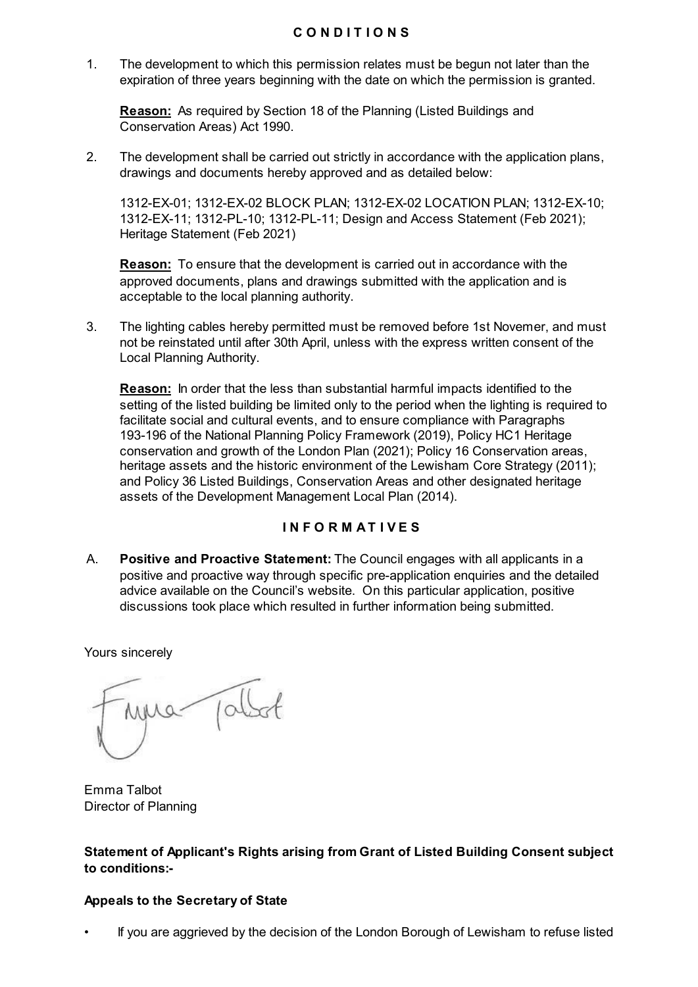### **C O N D I T I O N S**

1. The development to which this permission relates must be begun not later than the expiration of three years beginning with the date on which the permission is granted.

**Reason:** As required by Section 18 of the Planning (Listed Buildings and Conservation Areas) Act 1990.

2. The development shall be carried out strictly in accordance with the application plans, drawings and documents hereby approved and as detailed below:

1312-EX-01; 1312-EX-02 BLOCK PLAN; 1312-EX-02 LOCATION PLAN; 1312-EX-10; 1312-EX-11; 1312-PL-10; 1312-PL-11; Design and Access Statement (Feb 2021); Heritage Statement (Feb 2021)

**Reason:** To ensure that the development is carried out in accordance with the approved documents, plans and drawings submitted with the application and is acceptable to the local planning authority.

3. The lighting cables hereby permitted must be removed before 1st Novemer, and must not be reinstated until after 30th April, unless with the express written consent of the Local Planning Authority.

**Reason:** In order that the less than substantial harmful impacts identified to the setting of the listed building be limited only to the period when the lighting is required to facilitate social and cultural events, and to ensure compliance with Paragraphs 193-196 of the National Planning Policy Framework (2019), Policy HC1 Heritage conservation and growth of the London Plan (2021); Policy 16 Conservation areas, heritage assets and the historic environment of the Lewisham Core Strategy (2011); and Policy 36 Listed Buildings, Conservation Areas and other designated heritage assets of the Development Management Local Plan (2014).

## **I N F O R M A T I V E S**

A. **Positive and Proactive Statement:** The Council engages with all applicants in a positive and proactive way through specific pre-application enquiries and the detailed advice available on the Council's website. On this particular application, positive discussions took place which resulted in further information being submitted.

Yours sincerely

Emma Talbot Director of Planning

**Statement of Applicant's Rights arising from Grant of Listed Building Consent subject to conditions:-**

#### **Appeals to the Secretary of State**

• If you are aggrieved by the decision of the London Borough of Lewisham to refuse listed